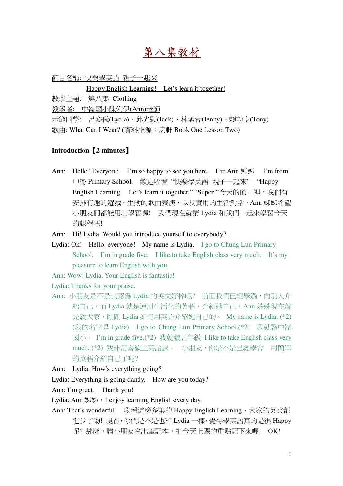# 第八集教材

節目名稱: 快樂學英語 親子一起來

Happy English Learning! Let's learn it together!

数壆主題: 第八集 Clothing

教學者: 中崙國小陳俐伊(Ann)老師

示範同學: 呂姿儀(Lydia)、邱光顯(Jack)、林孟蓉(Jenny)、賴劼亨(Tony)

歌曲: What Can I Wear? (資料來源: 康軒 Book One Lesson Two)

# **Introduction2 minutes**-

- Ann: Hello! Everyone. I'm so happy to see you here. I'm Ann  $\frac{1}{2}$ . I'm from 中崙 Primary School. 歡迎收看"快樂學英語 親子一起來""Happy English Learning. Let's learn it together." "Super!"今天的節目裡,我們有 安排有趣的遊戲、生動的歌曲表演,以及實用的生活對話,Ann 姊姊希望 小朋友們都能用心學習喔! 我們現在就請 Lydia 和我們一起來學習今天 的課程吧!
- Ann: Hi! Lydia. Would you introduce yourself to everybody?
- Lydia: Ok! Hello, everyone! My name is Lydia. I go to Chung Lun Primary School. I'm in grade five. I like to take English class very much. It's my pleasure to learn English with you.

Ann: Wow! Lydia. Your English is fantastic!

Lydia: Thanks for your praise.

- Ann: 小朋友是不是也認為 Lydia 的英文好棒呢? 前面我們已經學過,向別人介 紹自己,而 Lydia 就是運用生活化的英語,介紹她自己,Ann 姊姊現在就 先教大家,剛剛 Lydia 如何用英語介紹她自己的。 My name is Lydia. (\*2) (我的名字是 Lydia) I go to Chung Lun Primary School.(\*2) 我就讀中崙 國小。 I'm in grade five.(\*2) 我就讀五年級 I like to take English class very much. (\*2) 我非常喜歡上英語課。 小朋友,你是不是已經學會 用簡單 的英語介紹自己了呢?
- Ann: Lydia. How's everything going?

Lydia: Everything is going dandy. How are you today?

Ann: I'm great. Thank you!

Lydia: Ann  $\frac{1}{2}$ , I enjoy learning English every day.

Ann: That's wonderful! 收看這麼多集的 Happy English Learning, 大家的英文都 進步了喲! 現在,你們是不是也和 Lydia 一樣, 覺得學英語真的是很 Happy 呢? 那麼,請小朋友拿出筆記本, 把今天上課的重點記下來喔! OK!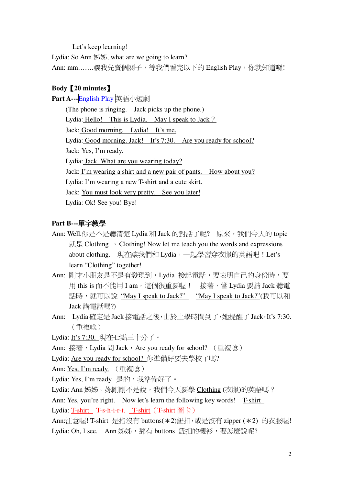Let's keep learning!

Lydia: So Ann 姊姊, what are we going to learn?

Ann: mm........讓我先賣個關子, 等我們看完以下的 English Play, 你就知道囉!

## **Body [20 minutes**]

Part A---English Play 英語小短劇

(The phone is ringing. Jack picks up the phone.) Lydia: Hello! This is Lydia. May I speak to Jack? Jack: Good morning. Lydia! It's me. Lydia: Good morning. Jack! It's 7:30. Are you ready for school? Jack: Yes, I'm ready. Lydia: Jack. What are you wearing today? Jack: I'm wearing a shirt and a new pair of pants. How about you? Lydia: I'm wearing a new T-shirt and a cute skirt. Jack: You must look very pretty. See you later! Lydia: Ok! See you! Bye!

## Part B---單字教學

- Ann: Well.你是不是聽清楚 Lydia 和 Jack 的對話了呢? 原來,我們今天的 topic 就是 Clothing  $\cdot$  Clothing! Now let me teach you the words and expressions about clothing. 現在讓我們和 Lydia,一起學習穿衣服的英語吧! Let's learn "Clothing" together!
- Ann: 剛才小朋友是不是有發現到, Lydia 接起電話, 要表明自己的身份時, 要 用 this is 而不能用 I am, 這個很重要喔! 接著, 當 Lydia 要請 Jack 聽電 話時, 就可以說"May I speak to Jack?" "May I speak to Jack?"(我可以和 Jack 講雷話嗎?)
- Ann: Lydia 確定是 Jack 接電話之後,由於上學時間到了,她提醒了 Jack, It's 7:30. (重複唸)
- Lydia: It's 7:30. 現在七點三十分了。
- Ann: 接著, Lydia 間 Jack, Are you ready for school? (重複唸)

Lydia: Are you ready for school? 你準備好要去學校了嗎?

Ann: Yes, I'm ready. (重複唸)

Lydia: Yes, I'm ready. 是的, 我準備好了。

Lydia: Ann 姊姊。妳剛剛不是說,我們今天要學 Clothing (衣服)的英語嗎?

Ann: Yes, you're right. Now let's learn the following key words! T-shirt Lydia: T-shirt T-s-h-i-r-t. T-shirt (T-shirt 圖卡)

Ann:注意喔! T-shirt 是指沒有 buttons( \* 2)鈕扣, 或是沒有 zipper ( \* 2) 的衣服喔! Lydia: Oh, I see. Ann 姊姊, 那有 buttons 鈕扣的襯衫, 要怎麼說呢?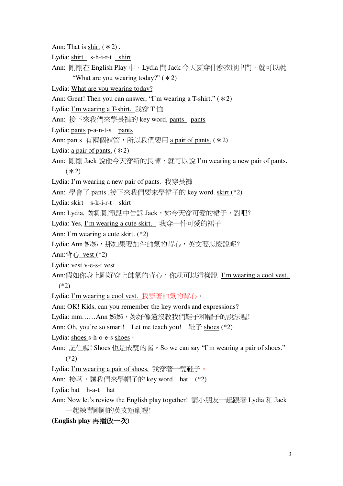- Ann: That is shirt  $(*2)$ .
- Lydia: shirt s-h-i-r-t shirt
- Ann: 剛剛在 English Play 中, Lydia 問 Jack 今天要穿什麼衣服出門, 就可以說 "What are you wearing today?"  $(*2)$
- Lydia: What are you wearing today?
- Ann: Great! Then you can answer, "I'm wearing a T-shirt."  $(*2)$
- Lydia: I'm wearing a T-shirt. 我穿 T恤
- Ann: 接下來我們來學長褲的 key word, pants pants
- Lydia: pants p-a-n-t-s pants
- Ann: pants 有兩個褲管, 所以我們要用 a pair of pants. (\*2)
- Lydia: a pair of pants.  $(*2)$
- Ann: 剛剛 Jack 說他今天穿新的長褲, 就可以說 I'm wearing a new pair of pants.  $(*2)$
- Lydia: I'm wearing a new pair of pants. 我穿長褲

Ann: 學會了 pants,接下來我們要來學裙子的 key word. skirt (\*2)

- Lydia: skirt s-k-i-r-t skirt
- Ann: Lydia, 妳剛剛雷話中告訴 Jack, 妳今天穿可愛的裙子, 對吧?
- Lydia: Yes, I'm wearing a cute skirt. 我穿一件可愛的裙子
- Ann: I'm wearing a cute skirt.  $(*2)$
- Lydia: Ann 姊姊, 那如果要加件帥氣的背心, 英文要怎麼說呢?

Ann:背心 vest  $(*2)$ 

- Lydia: vest v-e-s-t vest
- Ann:假如你身上剛好穿上帥氣的背心,,你就可以這樣說 I'm wearing a cool vest.  $(*2)$
- Lydia: I'm wearing a cool vest. 我穿著帥氣的背心。

Ann: OK! Kids, can you remember the key words and expressions?

Lydia: mm......Ann 姊姊, 妳好像還沒教我們鞋子和帽子的說法喔!

Ann: Oh, you're so smart! Let me teach you!  $\frac{117}{12}$  shoes (\*2)

- Lydia: shoes s-h-o-e-s shoes .
- Ann: 記住喔! Shoes 也是成雙的喔。So we can say "I'm wearing a pair of shoes."  $(*2)$
- Lydia: I'm wearing a pair of shoes. 我穿著一雙鞋子。
- Ann: 接著, 讓我們來學帽子的 key word hat (\*2)
- Lydia: hat h-a-t hat
- Ann: Now let's review the English play together! 請小朋友一起跟著 Lydia 和 Jack 一起練習剛剛的英文短劇喔!

## (English play 再播放一次)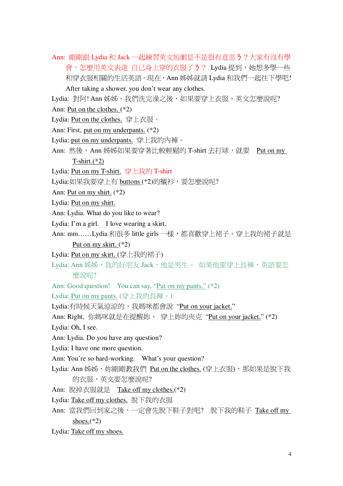Ann: 剛剛跟 Lydia 和 Jack 一起練習英文短劇是不是很有意思 3 ? 大家有沒有學 會,怎麼用英文表達 自已身上穿的衣服了3? Lydia 提到,她想多學一些 和穿衣服相關的生活英語。現在,Ann 姊姊就請 Lydia 和我們一起往下學吧! After taking a shower, you don't wear any clothes.

Lydia: 對阿! Ann 姊姊, 我們洗完澡之後, 如果要穿上衣服, 英文怎麼說呢? Ann: Put on the clothes.  $(*2)$ 

- Lydia: Put on the clothes. 穿上衣服。
- Ann: First, put on my underpants. (\*2)
- Lydia: put on my underpants. 穿上我的內褲。
- Ann: 然後, Ann 姊姊如果要穿著比較輕鬆的 T-shirt 去打球, 就要 Put on my

T-shirt. $(*2)$ 

Lydia: Put on my T-shirt. 穿上我的 T-shirt

Lydia:如果我要穿上有 buttons (\*2)的襯衫,要怎麼說呢?

- Ann: Put on my shirt.  $(*2)$
- Lydia: Put on my shirt.
- Ann: Lydia. What do you like to wear?
- Lydia: I'm a girl. I love wearing a skirt.
- Ann: mm......Lydia 和很多 little girls 一樣,都喜歡穿上裙子。穿上我的裙子就是 Put on my skirt.  $(*2)$
- Lydia: Put on my skirt. (穿上我的裙子)
- Lydia: Ann 姊姊, 我的好朋友 Jack, 他是男生。如果他要穿上長褲, 英語要怎 麼說呢?

Ann: Good question! You can say, "Put on my pants." (\*2)

Lydia: Put on my pants. (穿上我的長褲。)

Lydia:有時候天氣涼涼的,我媽咪都會說"Put on your jacket."

Ann: Right, 你媽咪就是在提醒妳, 穿上妳的夾克 "Put on your jacket." (\*2)

Lydia: Oh, I see.

Ann: Lydia. Do you have any question?

- Lydia: I have one more question.
- Ann: You're so hard-working. What's your question?
- Lydia: Ann 姊姊, 妳剛剛教我們 Put on the clothes. (穿上衣服), 那如果是脫下我 的衣服,英文要怎麼說呢?

Ann: 脫掉衣服就是 Take off my clothes.(\*2)

- Lydia: Take off my clothes. 脫下我的衣服
- Ann: 當我們回到家之後,一定會先脫下鞋子對吧? 脫下我的鞋子 Take off my shoes. $(*2)$
- Lydia: Take off my shoes.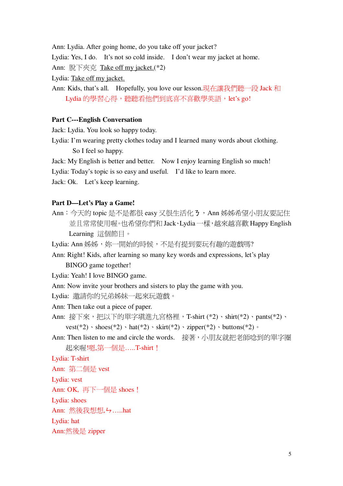Ann: Lydia. After going home, do you take off your jacket?

Lydia: Yes, I do. It's not so cold inside. I don't wear my jacket at home.

Ann: 脫下夾克 Take off my jacket.(\*2)

Lydia: Take off my jacket.

Ann: Kids, that's all. Hopefully, you love our lesson.現在讓我們聽一段 Jack 和 Lydia 的學習心得,聽聽看他們到底喜不喜歡學英語, let's go!

#### **Part C---English Conversation**

Jack: Lydia. You look so happy today.

Lydia: I'm wearing pretty clothes today and I learned many words about clothing. So I feel so happy.

Jack: My English is better and better. Now I enjoy learning English so much!

Lydia: Today's topic is so easy and useful. I'd like to learn more.

Jack: Ok. Let's keep learning.

#### Part D-Let's Play a Game!

Ann: 今天的 topic 是不是都很 easy 又很生活化3, Ann 姊姊希望小朋友要記住 並且常常使用喔。也希望你們和 Jack、Lydia 一樣,越來越喜歡 Happy English Learning 這個節目。

Lydia: Ann 姊姊, 妳一開始的時候, 不是有提到要玩有趣的遊戲嗎?

Ann: Right! Kids, after learning so many key words and expressions, let's play BINGO game together!

Lydia: Yeah! I love BINGO game.

Ann: Now invite your brothers and sisters to play the game with you.

Lydia: 激請你的兄弟姊妹一起來玩游戲。

Ann: Then take out a piece of paper.

Ann: 接下來,把以下的單字填進九宮格裡,T-shirt (\*2)、shirt(\*2)、pants(\*2)、 vest(\*2) · shoes(\*2) · hat(\*2) · skirt(\*2) · zipper(\*2) · buttons(\*2) ·

Ann: Then listen to me and circle the words. 接著,小朋友就把老師唸到的單字圈 起來喔!嗯.第一個是.....T-shirt !

## Lydia: T-shirt

Ann: 第二個是 vest

Lydia: vest

Ann: OK, 再下一個是 shoes!

Lydia: shoes

Ann: 然後我想想, ! - .....hat

Lydia: hat

Ann:然後是 zipper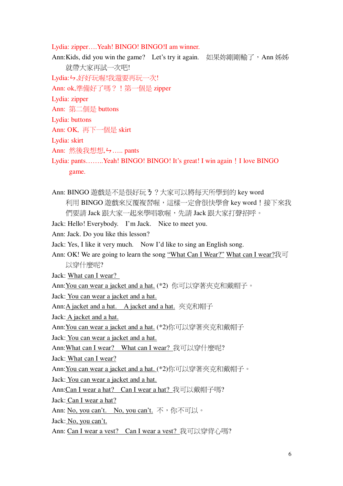Lydia: zipper....Yeah! BINGO! BINGO!I am winner.

Ann: Kids, did you win the game? Let's try it again. 如果妳剛剛輸了, Ann 姊姊 就帶大家再試一次吧! Lydia: ケ,好好玩喔!我還要再玩一次! Ann: ok,準備好了嗎? ! 第一個是 zipper Lydia: zipper Ann: 第二個是 buttons Lydia: buttons Ann: OK, 再下一個是 skirt Lydia: skirt Ann: 然後我想想, - , ..... pants Lydia: pants........Yeah! BINGO! BINGO! It's great! I win again! I love BINGO game.

Ann: BINGO 遊戲是不是很好玩 3 ? 大家可以將每天所學到的 key word 利用 BINGO 遊戲來反覆複習喔,這樣一定會很快學會 key word!接下來我 們要請 Jack 跟大家一起來學唱歌喔,先請 Jack 跟大家打聲招呼。

Jack: Hello! Everybody. I'm Jack. Nice to meet you.

Ann: Jack. Do you like this lesson?

Jack: Yes, I like it very much. Now I'd like to sing an English song.

Ann: OK! We are going to learn the song "What Can I Wear?" What can I wear?我可 以穿什麼呢?

Jack: What can I wear?

Ann: You can wear a jacket and a hat. (\*2) 你可以穿著夾克和戴帽子。

Jack: You can wear a jacket and a hat.

Ann:A jacket and a hat. A jacket and a hat. 夾克和帽子

Jack: A jacket and a hat.

Ann: You can wear a jacket and a hat. (\*2)你可以穿著夾克和戴帽子

Jack: You can wear a jacket and a hat.

Ann: What can I wear? What can I wear? 我可以穿什麼呢?

Jack: What can I wear?

Ann: You can wear a jacket and a hat. (\*2)你可以穿著夾克和戴帽子。

Jack: You can wear a jacket and a hat.

Ann:Can I wear a hat? Can I wear a hat? 我可以戴帽子嗎?

Jack: Can I wear a hat?

Ann: No, you can't. No, you can't. 不, 你不可以。

Jack: No, you can't.

Ann: Can I wear a vest? Can I wear a vest? 我可以穿背心嗎?